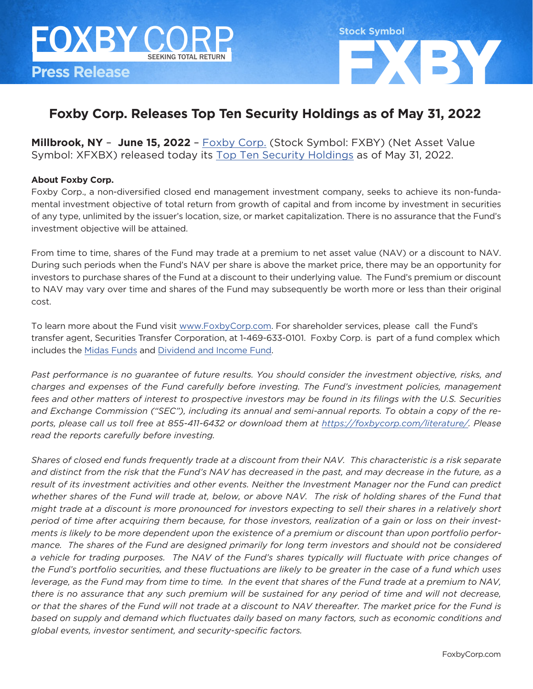



## **Foxby Corp. Releases Top Ten Security Holdings as of May 31, 2022**

**Millbrook, NY** – **June 15, 2022** – [Foxby Corp.](http://foxbycorp.com) (Stock Symbol: FXBY) (Net Asset Value Symbol: XFXBX) released today its [Top Ten Security Holdings](https://foxbycorp.com/top-ten-security-holdings/) as of May 31, 2022.

## **About Foxby Corp.**

Foxby Corp., a non-diversified closed end management investment company, seeks to achieve its non-fundamental investment objective of total return from growth of capital and from income by investment in securities of any type, unlimited by the issuer's location, size, or market capitalization. There is no assurance that the Fund's investment objective will be attained.

From time to time, shares of the Fund may trade at a premium to net asset value (NAV) or a discount to NAV. During such periods when the Fund's NAV per share is above the market price, there may be an opportunity for investors to purchase shares of the Fund at a discount to their underlying value. The Fund's premium or discount to NAV may vary over time and shares of the Fund may subsequently be worth more or less than their original cost.

To learn more about the Fund visit [www.FoxbyCorp.com.](http://www.FoxbyCorp.com) For shareholder services, please call the Fund's transfer agent, Securities Transfer Corporation, at 1-469-633-0101. Foxby Corp. is part of a fund complex which includes the [Midas Funds](https://midasfunds.com/) and [Dividend and Income Fund.](http://dividendandincomefund.com)

*Past performance is no guarantee of future results. You should consider the investment objective, risks, and charges and expenses of the Fund carefully before investing. The Fund's investment policies, management fees and other matters of interest to prospective investors may be found in its filings with the U.S. Securities and Exchange Commission ("SEC"), including its annual and semi-annual reports. To obtain a copy of the reports, please call us toll free at 855-411-6432 or download them at <https://foxbycorp.com/literature/>. Please read the reports carefully before investing.* 

*Shares of closed end funds frequently trade at a discount from their NAV. This characteristic is a risk separate and distinct from the risk that the Fund's NAV has decreased in the past, and may decrease in the future, as a result of its investment activities and other events. Neither the Investment Manager nor the Fund can predict whether shares of the Fund will trade at, below, or above NAV. The risk of holding shares of the Fund that might trade at a discount is more pronounced for investors expecting to sell their shares in a relatively short period of time after acquiring them because, for those investors, realization of a gain or loss on their investments is likely to be more dependent upon the existence of a premium or discount than upon portfolio performance. The shares of the Fund are designed primarily for long term investors and should not be considered a vehicle for trading purposes. The NAV of the Fund's shares typically will fluctuate with price changes of the Fund's portfolio securities, and these fluctuations are likely to be greater in the case of a fund which uses leverage, as the Fund may from time to time. In the event that shares of the Fund trade at a premium to NAV, there is no assurance that any such premium will be sustained for any period of time and will not decrease, or that the shares of the Fund will not trade at a discount to NAV thereafter. The market price for the Fund is based on supply and demand which fluctuates daily based on many factors, such as economic conditions and global events, investor sentiment, and security-specific factors.*